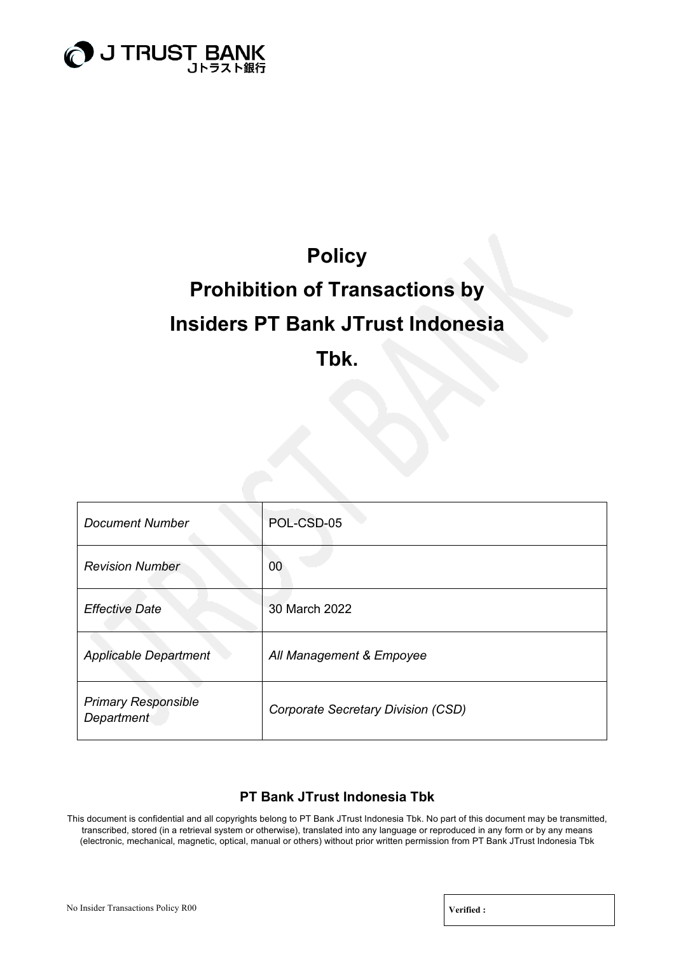

### **Policy**

# **Prohibition of Transactions by Insiders PT Bank JTrust Indonesia Tbk.**

| Document Number                          | POL-CSD-05                         |
|------------------------------------------|------------------------------------|
| <b>Revision Number</b>                   | 00                                 |
| <b>Effective Date</b>                    | 30 March 2022                      |
| <b>Applicable Department</b>             | All Management & Empoyee           |
| <b>Primary Responsible</b><br>Department | Corporate Secretary Division (CSD) |

### **PT Bank JTrust Indonesia Tbk**

This document is confidential and all copyrights belong to PT Bank JTrust Indonesia Tbk. No part of this document may be transmitted, transcribed, stored (in a retrieval system or otherwise), translated into any language or reproduced in any form or by any means (electronic, mechanical, magnetic, optical, manual or others) without prior written permission from PT Bank JTrust Indonesia Tbk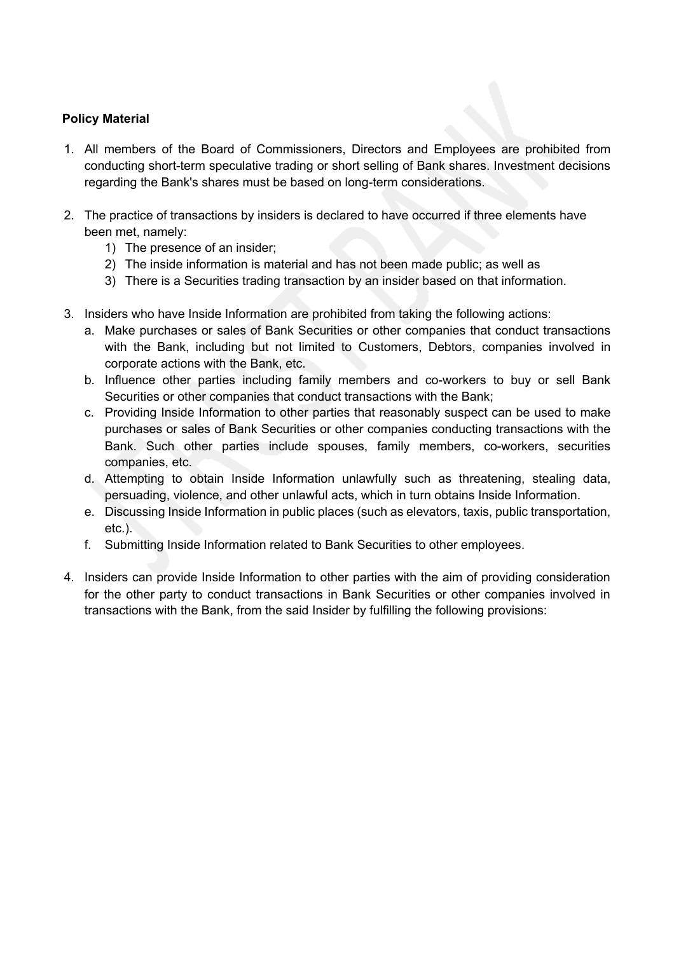### **Policy Material**

- 1. All members of the Board of Commissioners, Directors and Employees are prohibited from conducting short-term speculative trading or short selling of Bank shares. Investment decisions regarding the Bank's shares must be based on long-term considerations.
- 2. The practice of transactions by insiders is declared to have occurred if three elements have been met, namely:
	- 1) The presence of an insider;
	- 2) The inside information is material and has not been made public; as well as
	- 3) There is a Securities trading transaction by an insider based on that information.
- 3. Insiders who have Inside Information are prohibited from taking the following actions:
	- a. Make purchases or sales of Bank Securities or other companies that conduct transactions with the Bank, including but not limited to Customers, Debtors, companies involved in corporate actions with the Bank, etc.
	- b. Influence other parties including family members and co-workers to buy or sell Bank Securities or other companies that conduct transactions with the Bank;
	- c. Providing Inside Information to other parties that reasonably suspect can be used to make purchases or sales of Bank Securities or other companies conducting transactions with the Bank. Such other parties include spouses, family members, co-workers, securities companies, etc.
	- d. Attempting to obtain Inside Information unlawfully such as threatening, stealing data, persuading, violence, and other unlawful acts, which in turn obtains Inside Information.
	- e. Discussing Inside Information in public places (such as elevators, taxis, public transportation, etc.).
	- f. Submitting Inside Information related to Bank Securities to other employees.
- 4. Insiders can provide Inside Information to other parties with the aim of providing consideration for the other party to conduct transactions in Bank Securities or other companies involved in transactions with the Bank, from the said Insider by fulfilling the following provisions: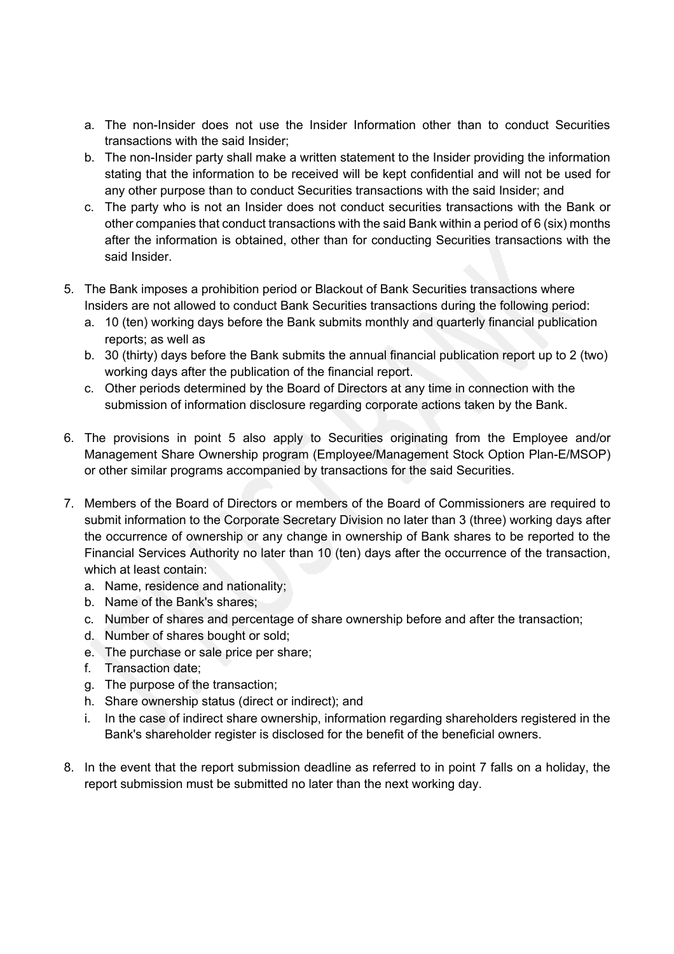- a. The non-Insider does not use the Insider Information other than to conduct Securities transactions with the said Insider;
- b. The non-Insider party shall make a written statement to the Insider providing the information stating that the information to be received will be kept confidential and will not be used for any other purpose than to conduct Securities transactions with the said Insider; and
- c. The party who is not an Insider does not conduct securities transactions with the Bank or other companies that conduct transactions with the said Bank within a period of 6 (six) months after the information is obtained, other than for conducting Securities transactions with the said Insider.
- 5. The Bank imposes a prohibition period or Blackout of Bank Securities transactions where Insiders are not allowed to conduct Bank Securities transactions during the following period:
	- a. 10 (ten) working days before the Bank submits monthly and quarterly financial publication reports; as well as
	- b. 30 (thirty) days before the Bank submits the annual financial publication report up to 2 (two) working days after the publication of the financial report.
	- c. Other periods determined by the Board of Directors at any time in connection with the submission of information disclosure regarding corporate actions taken by the Bank.
- 6. The provisions in point 5 also apply to Securities originating from the Employee and/or Management Share Ownership program (Employee/Management Stock Option Plan-E/MSOP) or other similar programs accompanied by transactions for the said Securities.
- 7. Members of the Board of Directors or members of the Board of Commissioners are required to submit information to the Corporate Secretary Division no later than 3 (three) working days after the occurrence of ownership or any change in ownership of Bank shares to be reported to the Financial Services Authority no later than 10 (ten) days after the occurrence of the transaction, which at least contain:
	- a. Name, residence and nationality;
	- b. Name of the Bank's shares;
	- c. Number of shares and percentage of share ownership before and after the transaction;
	- d. Number of shares bought or sold;
	- e. The purchase or sale price per share;
	- f. Transaction date;
	- g. The purpose of the transaction;
	- h. Share ownership status (direct or indirect); and
	- i. In the case of indirect share ownership, information regarding shareholders registered in the Bank's shareholder register is disclosed for the benefit of the beneficial owners.
- 8. In the event that the report submission deadline as referred to in point 7 falls on a holiday, the report submission must be submitted no later than the next working day.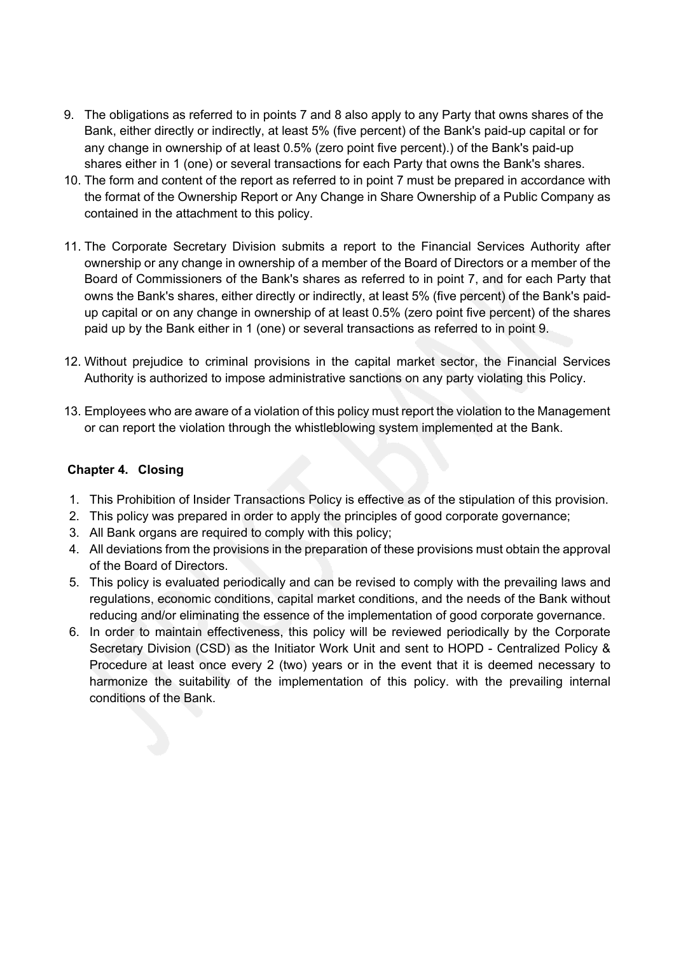- 9. The obligations as referred to in points 7 and 8 also apply to any Party that owns shares of the Bank, either directly or indirectly, at least 5% (five percent) of the Bank's paid-up capital or for any change in ownership of at least 0.5% (zero point five percent).) of the Bank's paid-up shares either in 1 (one) or several transactions for each Party that owns the Bank's shares.
- 10. The form and content of the report as referred to in point 7 must be prepared in accordance with the format of the Ownership Report or Any Change in Share Ownership of a Public Company as contained in the attachment to this policy.
- 11. The Corporate Secretary Division submits a report to the Financial Services Authority after ownership or any change in ownership of a member of the Board of Directors or a member of the Board of Commissioners of the Bank's shares as referred to in point 7, and for each Party that owns the Bank's shares, either directly or indirectly, at least 5% (five percent) of the Bank's paidup capital or on any change in ownership of at least 0.5% (zero point five percent) of the shares paid up by the Bank either in 1 (one) or several transactions as referred to in point 9.
- 12. Without prejudice to criminal provisions in the capital market sector, the Financial Services Authority is authorized to impose administrative sanctions on any party violating this Policy.
- 13. Employees who are aware of a violation of this policy must report the violation to the Management or can report the violation through the whistleblowing system implemented at the Bank.

### **Chapter 4. Closing**

- 1. This Prohibition of Insider Transactions Policy is effective as of the stipulation of this provision.
- 2. This policy was prepared in order to apply the principles of good corporate governance;
- 3. All Bank organs are required to comply with this policy;
- 4. All deviations from the provisions in the preparation of these provisions must obtain the approval of the Board of Directors.
- 5. This policy is evaluated periodically and can be revised to comply with the prevailing laws and regulations, economic conditions, capital market conditions, and the needs of the Bank without reducing and/or eliminating the essence of the implementation of good corporate governance.
- 6. In order to maintain effectiveness, this policy will be reviewed periodically by the Corporate Secretary Division (CSD) as the Initiator Work Unit and sent to HOPD - Centralized Policy & Procedure at least once every 2 (two) years or in the event that it is deemed necessary to harmonize the suitability of the implementation of this policy. with the prevailing internal conditions of the Bank.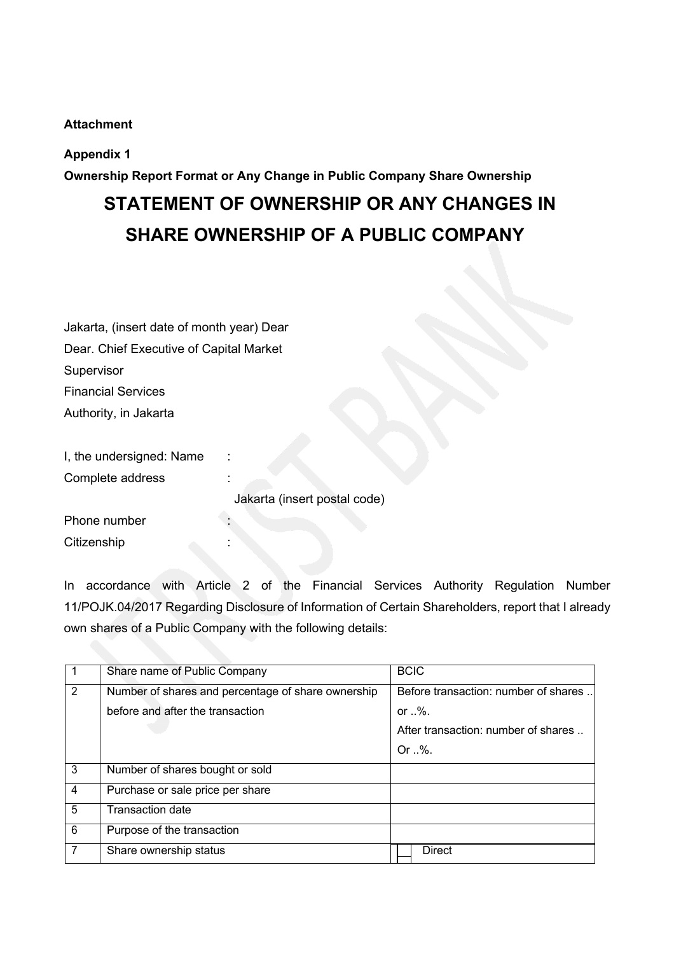### **Attachment**

### **Appendix 1**

**Ownership Report Format or Any Change in Public Company Share Ownership**

## **STATEMENT OF OWNERSHIP OR ANY CHANGES IN SHARE OWNERSHIP OF A PUBLIC COMPANY**

| Jakarta, (insert date of month year) Dear    |                              |
|----------------------------------------------|------------------------------|
| Dear. Chief Executive of Capital Market      |                              |
| Supervisor                                   |                              |
| <b>Financial Services</b>                    |                              |
| Authority, in Jakarta                        |                              |
| I, the undersigned: Name<br>Complete address |                              |
|                                              | Jakarta (insert postal code) |
| Phone number                                 |                              |
| Citizenship                                  |                              |

In accordance with Article 2 of the Financial Services Authority Regulation Number 11/POJK.04/2017 Regarding Disclosure of Information of Certain Shareholders, report that I already own shares of a Public Company with the following details:

|                | Share name of Public Company                       | <b>BCIC</b>                          |
|----------------|----------------------------------------------------|--------------------------------------|
| 2              | Number of shares and percentage of share ownership | Before transaction: number of shares |
|                | before and after the transaction                   | or $\mathcal{A}$ .                   |
|                |                                                    | After transaction: number of shares  |
|                |                                                    | $Or \sqrt{\ }$                       |
| 3              | Number of shares bought or sold                    |                                      |
| $\overline{4}$ | Purchase or sale price per share                   |                                      |
| 5              | <b>Transaction date</b>                            |                                      |
| 6              | Purpose of the transaction                         |                                      |
| 7              | Share ownership status                             | <b>Direct</b>                        |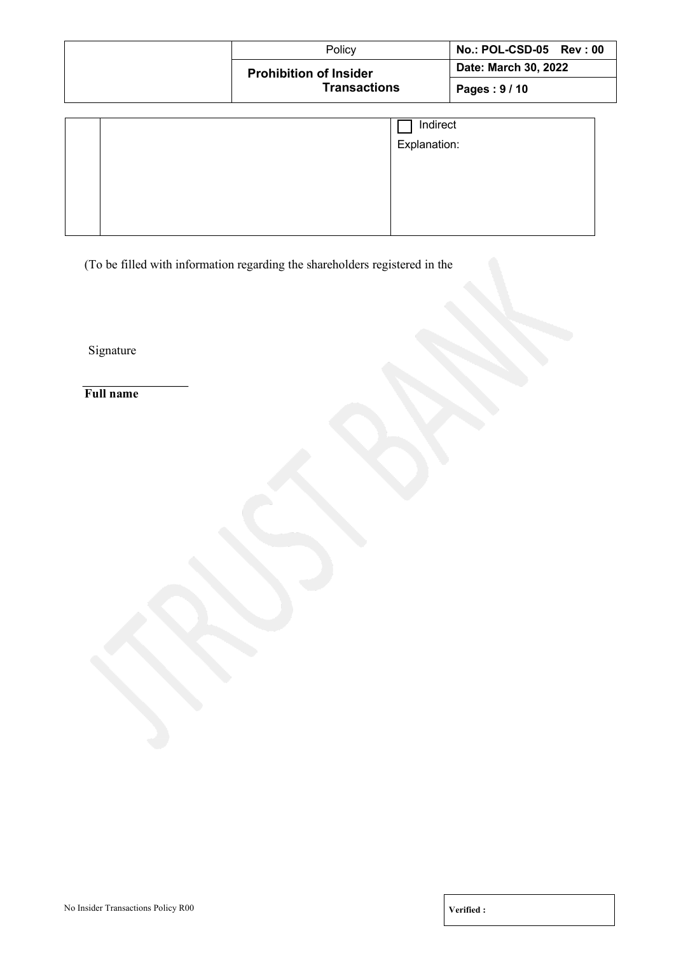| Policy                        | No.: POL-CSD-05 Rev: 00 |
|-------------------------------|-------------------------|
| <b>Prohibition of Insider</b> | Date: March 30, 2022    |
| <b>Transactions</b>           | Pages: $9/10$           |

|  | Indirect<br>Explanation: |
|--|--------------------------|
|  |                          |
|  |                          |

(To be filled with information regarding the shareholders registered in the

Signature

**Full name**